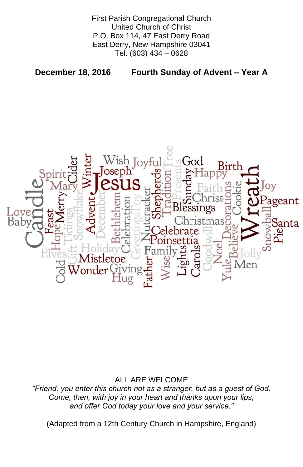First Parish Congregational Church United Church of Christ P.O. Box 114, 47 East Derry Road East Derry, New Hampshire 03041 Tel. (603) 434 – 0628

**December 18, 2016 Fourth Sunday of Advent – Year A**



#### ALL ARE WELCOME

*"Friend, you enter this church not as a stranger, but as a guest of God. Come, then, with joy in your heart and thanks upon your lips, and offer God today your love and your service."*

(Adapted from a 12th Century Church in Hampshire, England)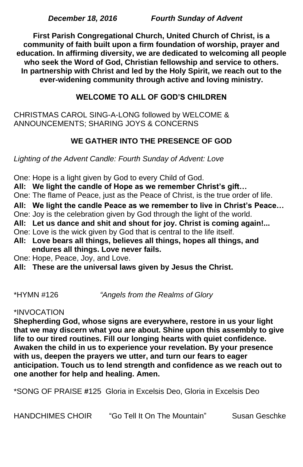*December 18, 2016 Fourth Sunday of Advent*

**First Parish Congregational Church, United Church of Christ, is a community of faith built upon a firm foundation of worship, prayer and education. In affirming diversity, we are dedicated to welcoming all people who seek the Word of God, Christian fellowship and service to others. In partnership with Christ and led by the Holy Spirit, we reach out to the ever-widening community through active and loving ministry.**

# **WELCOME TO ALL OF GOD'S CHILDREN**

CHRISTMAS CAROL SING-A-LONG followed by WELCOME & ANNOUNCEMENTS; SHARING JOYS & CONCERNS

# **WE GATHER INTO THE PRESENCE OF GOD**

*Lighting of the Advent Candle: Fourth Sunday of Advent: Love*

One: Hope is a light given by God to every Child of God.

**All: We light the candle of Hope as we remember Christ's gift…**

One: The flame of Peace, just as the Peace of Christ, is the true order of life.

**All: We light the candle Peace as we remember to live in Christ's Peace…**  One: Joy is the celebration given by God through the light of the world.

**All: Let us dance and shit and shout for joy. Christ is coming again!...**

One: Love is the wick given by God that is central to the life itself.

**All: Love bears all things, believes all things, hopes all things, and endures all things. Love never fails.**

One: Hope, Peace, Joy, and Love.

**All: These are the universal laws given by Jesus the Christ.**

\*HYMN #126 *"Angels from the Realms of Glory*

# \*INVOCATION

**Shepherding God, whose signs are everywhere, restore in us your light that we may discern what you are about. Shine upon this assembly to give life to our tired routines. Fill our longing hearts with quiet confidence. Awaken the child in us to experience your revelation. By your presence with us, deepen the prayers we utter, and turn our fears to eager anticipation. Touch us to lend strength and confidence as we reach out to one another for help and healing. Amen.**

\*SONG OF PRAISE **#**125 Gloria in Excelsis Deo, Gloria in Excelsis Deo

# HANDCHIMES CHOIR "Go Tell It On The Mountain" Susan Geschke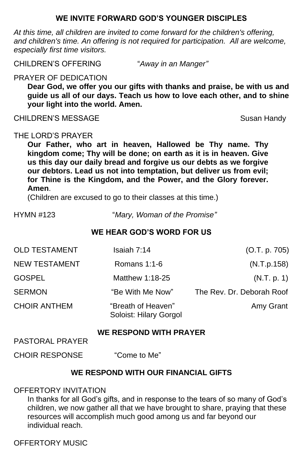# **WE INVITE FORWARD GOD'S YOUNGER DISCIPLES**

*At this time, all children are invited to come forward for the children's offering,*  and children's time. An offering is not required for participation. All are welcome, *especially first time visitors.*

CHILDREN'S OFFERING "*Away in an Manger"*

# PRAYER OF DEDICATION

**Dear God, we offer you our gifts with thanks and praise, be with us and guide us all of our days. Teach us how to love each other, and to shine your light into the world. Amen.**

CHILDREN'S MESSAGE Susan Handy

#### THE LORD'S PRAYER

**Our Father, who art in heaven, Hallowed be Thy name. Thy kingdom come; Thy will be done; on earth as it is in heaven. Give us this day our daily bread and forgive us our debts as we forgive our debtors. Lead us not into temptation, but deliver us from evil; for Thine is the Kingdom, and the Power, and the Glory forever. Amen**.

(Children are excused to go to their classes at this time.)

HYMN #123 "*Mary, Woman of the Promise"*

## **WE HEAR GOD'S WORD FOR US**

| <b>OLD TESTAMENT</b> | <b>Isaiah 7:14</b>                                  | (O.T. p. 705)             |
|----------------------|-----------------------------------------------------|---------------------------|
| <b>NEW TESTAMENT</b> | Romans $1:1-6$                                      | (N.T.p.158)               |
| <b>GOSPEL</b>        | Matthew 1:18-25                                     | (N.T. p. 1)               |
| <b>SERMON</b>        | "Be With Me Now"                                    | The Rev. Dr. Deborah Roof |
| <b>CHOIR ANTHEM</b>  | "Breath of Heaven"<br><b>Soloist: Hilary Gorgol</b> | Amy Grant                 |

## **WE RESPOND WITH PRAYER**

PASTORAL PRAYER

#### CHOIR RESPONSE "Come to Me"

#### **WE RESPOND WITH OUR FINANCIAL GIFTS**

#### OFFERTORY INVITATION

In thanks for all God's gifts, and in response to the tears of so many of God's children, we now gather all that we have brought to share, praying that these resources will accomplish much good among us and far beyond our individual reach.

#### OFFERTORY MUSIC